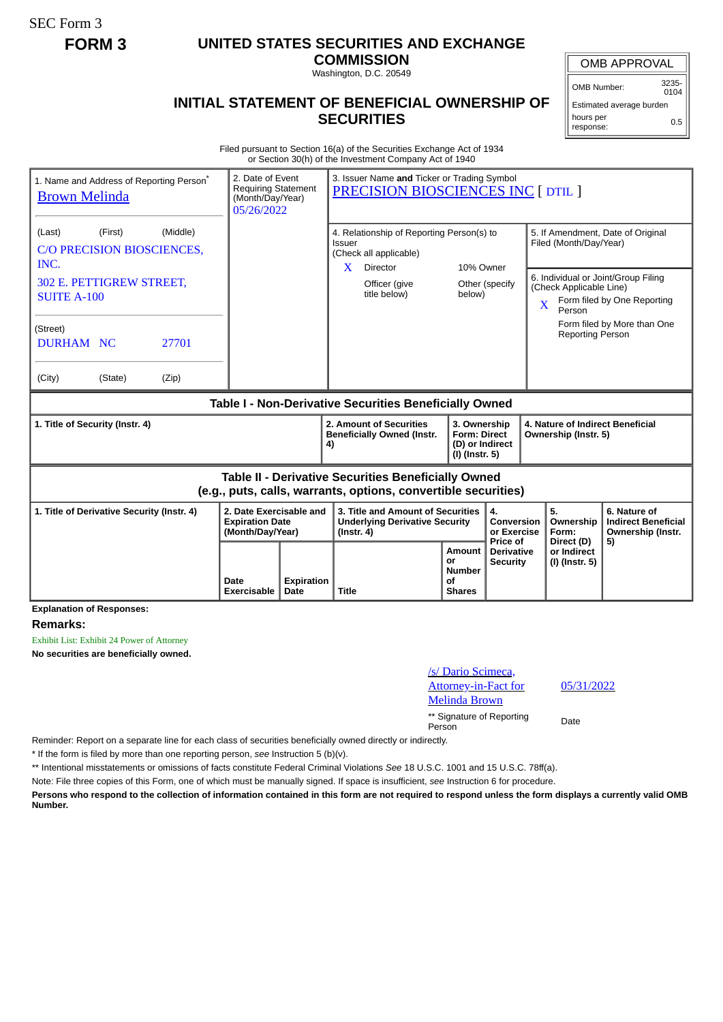SEC Form 3

## **FORM 3 UNITED STATES SECURITIES AND EXCHANGE**

**COMMISSION** Washington, D.C. 20549

## **INITIAL STATEMENT OF BENEFICIAL OWNERSHIP OF SECURITIES**

OMB APPROVAL

OMB Number: 3235-  $0104$ 

Estimated average burden hours per response: 0.5

Filed pursuant to Section 16(a) of the Securities Exchange Act of 1934 or Section 30(h) of the Investment Company Act of 1940

| 1. Name and Address of Reporting Person*<br><b>Brown Melinda</b>                                                      | 2. Date of Event<br><b>Requiring Statement</b><br>(Month/Day/Year)<br>05/26/2022 |                                                                                                                        | 3. Issuer Name and Ticker or Trading Symbol<br>PRECISION BIOSCIENCES INC [ DTIL ]              |                                                      |                                                                                                                                      |                                                                                                                                    |                                                                       |  |
|-----------------------------------------------------------------------------------------------------------------------|----------------------------------------------------------------------------------|------------------------------------------------------------------------------------------------------------------------|------------------------------------------------------------------------------------------------|------------------------------------------------------|--------------------------------------------------------------------------------------------------------------------------------------|------------------------------------------------------------------------------------------------------------------------------------|-----------------------------------------------------------------------|--|
| (Middle)<br>(First)<br>(Last)<br>C/O PRECISION BIOSCIENCES,<br>INC.                                                   |                                                                                  | 4. Relationship of Reporting Person(s) to<br>Issuer<br>(Check all applicable)<br>10% Owner<br>$\mathbf{X}$<br>Director |                                                                                                |                                                      | 5. If Amendment, Date of Original<br>Filed (Month/Day/Year)                                                                          |                                                                                                                                    |                                                                       |  |
| 302 E. PETTIGREW STREET,<br><b>SUITE A-100</b>                                                                        |                                                                                  |                                                                                                                        | Officer (give<br>title below)                                                                  | below)                                               | Other (specify                                                                                                                       | 6. Individual or Joint/Group Filing<br>(Check Applicable Line)<br>Form filed by One Reporting<br>$\overline{\mathbf{X}}$<br>Person |                                                                       |  |
| (Street)<br>27701<br><b>DURHAM NC</b>                                                                                 |                                                                                  |                                                                                                                        |                                                                                                |                                                      |                                                                                                                                      | <b>Reporting Person</b>                                                                                                            | Form filed by More than One                                           |  |
| (City)<br>(State)<br>(Zip)                                                                                            |                                                                                  |                                                                                                                        |                                                                                                |                                                      |                                                                                                                                      |                                                                                                                                    |                                                                       |  |
| Table I - Non-Derivative Securities Beneficially Owned                                                                |                                                                                  |                                                                                                                        |                                                                                                |                                                      |                                                                                                                                      |                                                                                                                                    |                                                                       |  |
| 1. Title of Security (Instr. 4)                                                                                       |                                                                                  |                                                                                                                        | 2. Amount of Securities<br><b>Beneficially Owned (Instr.</b><br>4)                             |                                                      | 4. Nature of Indirect Beneficial<br>3. Ownership<br><b>Form: Direct</b><br>Ownership (Instr. 5)<br>(D) or Indirect<br>(I) (Instr. 5) |                                                                                                                                    |                                                                       |  |
| Table II - Derivative Securities Beneficially Owned<br>(e.g., puts, calls, warrants, options, convertible securities) |                                                                                  |                                                                                                                        |                                                                                                |                                                      |                                                                                                                                      |                                                                                                                                    |                                                                       |  |
| 2. Date Exercisable and<br>1. Title of Derivative Security (Instr. 4)<br><b>Expiration Date</b><br>(Month/Day/Year)   |                                                                                  |                                                                                                                        | 3. Title and Amount of Securities<br><b>Underlying Derivative Security</b><br>$($ lnstr. 4 $)$ |                                                      | 4.<br>Conversion<br>or Exercise<br>Price of                                                                                          | 5.<br>Ownership<br>Form:<br>Direct (D)                                                                                             | 6. Nature of<br><b>Indirect Beneficial</b><br>Ownership (Instr.<br>5) |  |
|                                                                                                                       | Date<br>Exercisable                                                              | <b>Expiration</b><br>Date                                                                                              | Title                                                                                          | Amount<br>or<br><b>Number</b><br>Οf<br><b>Shares</b> | <b>Derivative</b><br><b>Security</b>                                                                                                 | or Indirect<br>(I) (Instr. 5)                                                                                                      |                                                                       |  |

## **Remarks:**

Exhibit List: Exhibit 24 Power of Attorney

**No securities are beneficially owned.**

| /s/ Dario Scimeca,          |  |
|-----------------------------|--|
| <u>Attorney-in-Fact for</u> |  |
| <b>Melinda Brown</b>        |  |

\*\* Signature of Reporting Person Date

Reminder: Report on a separate line for each class of securities beneficially owned directly or indirectly.

\* If the form is filed by more than one reporting person, *see* Instruction 5 (b)(v).

\*\* Intentional misstatements or omissions of facts constitute Federal Criminal Violations *See* 18 U.S.C. 1001 and 15 U.S.C. 78ff(a).

Note: File three copies of this Form, one of which must be manually signed. If space is insufficient, *see* Instruction 6 for procedure.

**Persons who respond to the collection of information contained in this form are not required to respond unless the form displays a currently valid OMB Number.**

05/31/2022